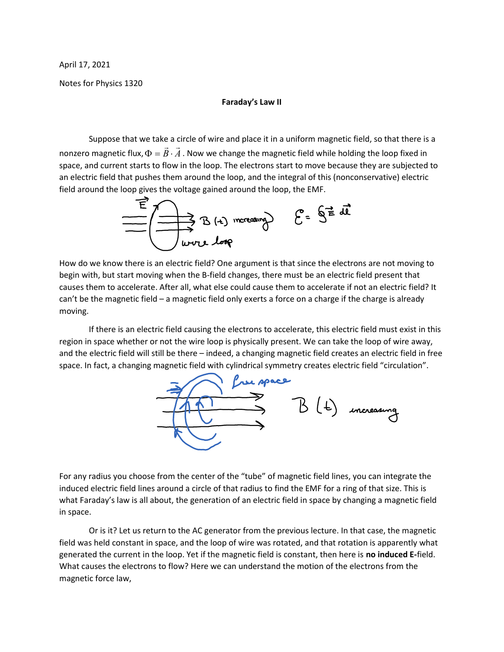April 17, 2021

Notes for Physics 1320

## Faraday's Law II

 Suppose that we take a circle of wire and place it in a uniform magnetic field, so that there is a nonzero magnetic flux,  $\Phi = \vec{B} \cdot \vec{A}$ . . Now we change the magnetic field while holding the loop fixed in space, and current starts to flow in the loop. The electrons start to move because they are subjected to an electric field that pushes them around the loop, and the integral of this (nonconservative) electric field around the loop gives the voltage gained around the loop, the EMF.



How do we know there is an electric field? One argument is that since the electrons are not moving to begin with, but start moving when the B-field changes, there must be an electric field present that causes them to accelerate. After all, what else could cause them to accelerate if not an electric field? It can't be the magnetic field – a magnetic field only exerts a force on a charge if the charge is already moving.

 If there is an electric field causing the electrons to accelerate, this electric field must exist in this region in space whether or not the wire loop is physically present. We can take the loop of wire away, and the electric field will still be there – indeed, a changing magnetic field creates an electric field in free space. In fact, a changing magnetic field with cylindrical symmetry creates electric field "circulation".



For any radius you choose from the center of the "tube" of magnetic field lines, you can integrate the induced electric field lines around a circle of that radius to find the EMF for a ring of that size. This is what Faraday's law is all about, the generation of an electric field in space by changing a magnetic field in space.

 Or is it? Let us return to the AC generator from the previous lecture. In that case, the magnetic field was held constant in space, and the loop of wire was rotated, and that rotation is apparently what generated the current in the loop. Yet if the magnetic field is constant, then here is no induced E-field. What causes the electrons to flow? Here we can understand the motion of the electrons from the magnetic force law,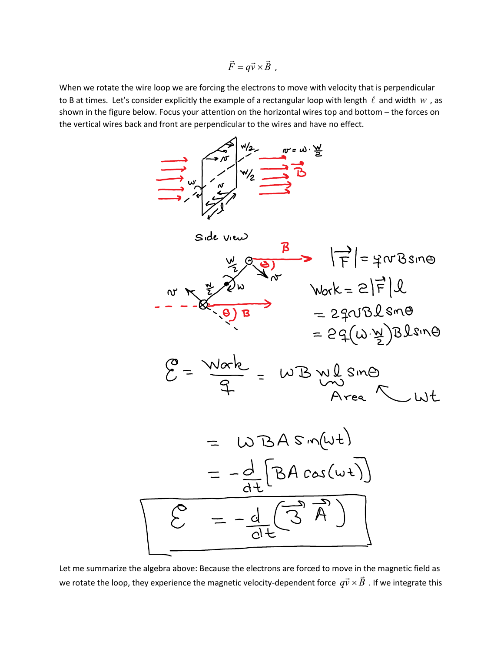$\vec{F} = q\vec{v} \times \vec{B}$ ,

When we rotate the wire loop we are forcing the electrons to move with velocity that is perpendicular to B at times. Let's consider explicitly the example of a rectangular loop with length  $\ell$  and width  $w$ , as shown in the figure below. Focus your attention on the horizontal wires top and bottom – the forces on the vertical wires back and front are perpendicular to the wires and have no effect.



Let me summarize the algebra above: Because the electrons are forced to move in the magnetic field as we rotate the loop, they experience the magnetic velocity-dependent force  $q\vec{v}\times\vec{B}$  . If we integrate this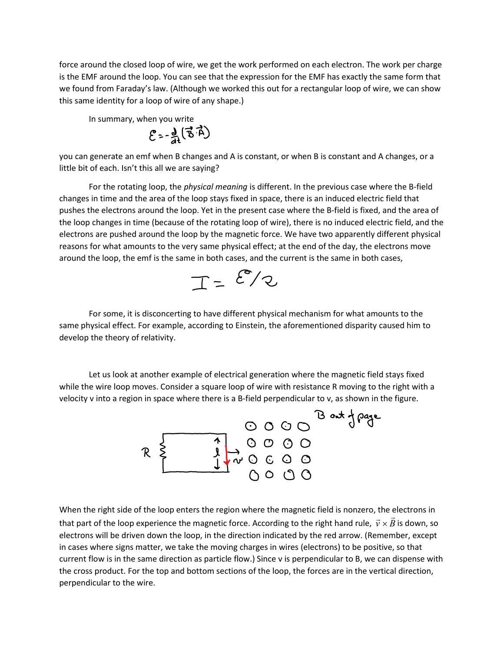force around the closed loop of wire, we get the work performed on each electron. The work per charge is the EMF around the loop. You can see that the expression for the EMF has exactly the same form that we found from Faraday's law. (Although we worked this out for a rectangular loop of wire, we can show this same identity for a loop of wire of any shape.)

In summary, when you write

$$
\mathcal{E} = \frac{d}{dt} \left( \vec{B} \cdot \vec{A} \right)
$$

you can generate an emf when B changes and A is constant, or when B is constant and A changes, or a little bit of each. Isn't this all we are saying?

For the rotating loop, the *physical meaning* is different. In the previous case where the B-field changes in time and the area of the loop stays fixed in space, there is an induced electric field that pushes the electrons around the loop. Yet in the present case where the B-field is fixed, and the area of the loop changes in time (because of the rotating loop of wire), there is no induced electric field, and the electrons are pushed around the loop by the magnetic force. We have two apparently different physical reasons for what amounts to the very same physical effect; at the end of the day, the electrons move around the loop, the emf is the same in both cases, and the current is the same in both cases,

 $T = \mathcal{E}/2$ 

 For some, it is disconcerting to have different physical mechanism for what amounts to the same physical effect. For example, according to Einstein, the aforementioned disparity caused him to develop the theory of relativity.

 Let us look at another example of electrical generation where the magnetic field stays fixed while the wire loop moves. Consider a square loop of wire with resistance R moving to the right with a velocity v into a region in space where there is a B-field perpendicular to v, as shown in the figure.



When the right side of the loop enters the region where the magnetic field is nonzero, the electrons in that part of the loop experience the magnetic force. According to the right hand rule,  $\vec{v} \times \vec{B}$  is down, so electrons will be driven down the loop, in the direction indicated by the red arrow. (Remember, except in cases where signs matter, we take the moving charges in wires (electrons) to be positive, so that current flow is in the same direction as particle flow.) Since v is perpendicular to B, we can dispense with the cross product. For the top and bottom sections of the loop, the forces are in the vertical direction, perpendicular to the wire.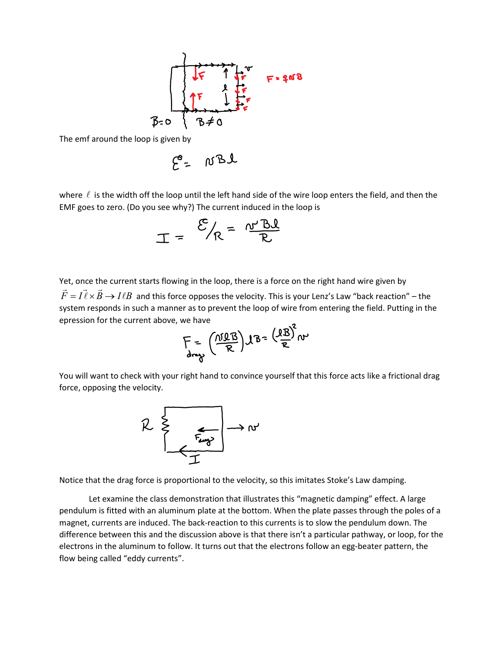

The emf around the loop is given by

$$
\mathcal{E} = \text{WBL}
$$

where  $\ell$  is the width off the loop until the left hand side of the wire loop enters the field, and then the EMF goes to zero. (Do you see why?) The current induced in the loop is

$$
T = \frac{E}{E} = \frac{E}{\sqrt{B}}
$$

Yet, once the current starts flowing in the loop, there is a force on the right hand wire given by For  $\vec{F} = I \vec{l} \times \vec{B} \rightarrow I \ell B$  and  $\vec \ell \times \vec B \to I \ell B \,$  and this force opposes the velocity. This is your Lenz's Law "back reaction" – the system responds in such a manner as to prevent the loop of wire from entering the field. Putting in the epression for the current above, we have

$$
F = \left(\frac{\eta \Omega B}{R}\right) \Lambda B = \left(\frac{\Omega B}{R}\right)^2 \omega
$$

You will want to check with your right hand to convince yourself that this force acts like a frictional drag force, opposing the velocity.



Notice that the drag force is proportional to the velocity, so this imitates Stoke's Law damping.

 Let examine the class demonstration that illustrates this "magnetic damping" effect. A large pendulum is fitted with an aluminum plate at the bottom. When the plate passes through the poles of a magnet, currents are induced. The back-reaction to this currents is to slow the pendulum down. The difference between this and the discussion above is that there isn't a particular pathway, or loop, for the electrons in the aluminum to follow. It turns out that the electrons follow an egg-beater pattern, the flow being called "eddy currents".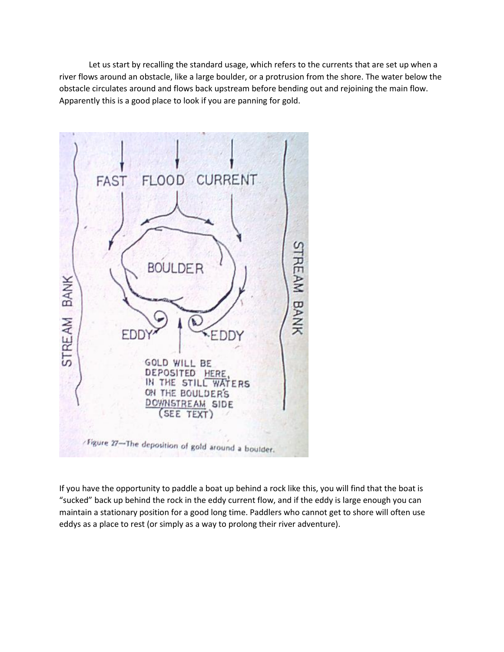Let us start by recalling the standard usage, which refers to the currents that are set up when a river flows around an obstacle, like a large boulder, or a protrusion from the shore. The water below the obstacle circulates around and flows back upstream before bending out and rejoining the main flow. Apparently this is a good place to look if you are panning for gold.



If you have the opportunity to paddle a boat up behind a rock like this, you will find that the boat is "sucked" back up behind the rock in the eddy current flow, and if the eddy is large enough you can maintain a stationary position for a good long time. Paddlers who cannot get to shore will often use eddys as a place to rest (or simply as a way to prolong their river adventure).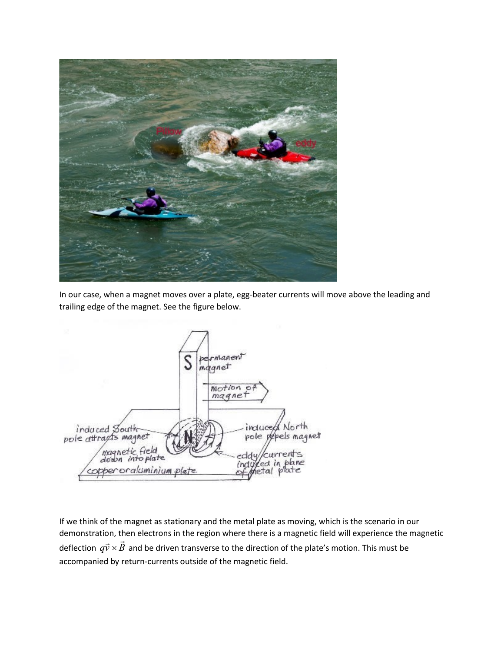

In our case, when a magnet moves over a plate, egg-beater currents will move above the leading and trailing edge of the magnet. See the figure below.



If we think of the magnet as stationary and the metal plate as moving, which is the scenario in our demonstration, then electrons in the region where there is a magnetic field will experience the magnetic deflection  $q\vec{v} \times \vec{B}$  and be driven transverse to the direction of the plate's motion. This must be accompanied by return-currents outside of the magnetic field.